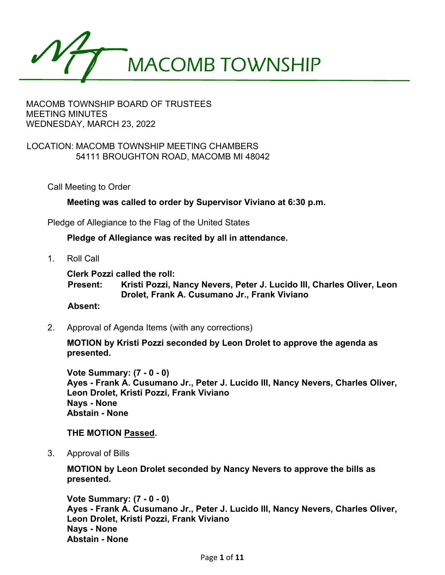

## LOCATION: MACOMB TOWNSHIP MEETING CHAMBERS 54111 BROUGHTON ROAD, MACOMB MI 48042

Call Meeting to Order

**Meeting was called to order by Supervisor Viviano at 6:30 p.m.**

Pledge of Allegiance to the Flag of the United States

**Pledge of Allegiance was recited by all in attendance.**

1. Roll Call

**Clerk Pozzi called the roll:**

**Present: Kristi Pozzi, Nancy Nevers, Peter J. Lucido III, Charles Oliver, Leon Drolet, Frank A. Cusumano Jr., Frank Viviano**

### **Absent:**

2. Approval of Agenda Items (with any corrections)

**MOTION by Kristi Pozzi seconded by Leon Drolet to approve the agenda as presented.** 

**Vote Summary: (7 - 0 - 0) Ayes - Frank A. Cusumano Jr., Peter J. Lucido III, Nancy Nevers, Charles Oliver, Leon Drolet, Kristi Pozzi, Frank Viviano Nays - None Abstain - None** 

### **THE MOTION Passed.**

3. Approval of Bills

**MOTION by Leon Drolet seconded by Nancy Nevers to approve the bills as presented.** 

**Vote Summary: (7 - 0 - 0) Ayes - Frank A. Cusumano Jr., Peter J. Lucido III, Nancy Nevers, Charles Oliver, Leon Drolet, Kristi Pozzi, Frank Viviano Nays - None Abstain - None**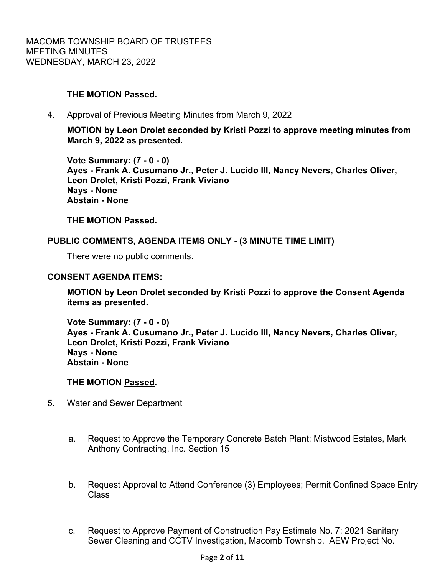# **THE MOTION Passed.**

4. Approval of Previous Meeting Minutes from March 9, 2022

**MOTION by Leon Drolet seconded by Kristi Pozzi to approve meeting minutes from March 9, 2022 as presented.** 

**Vote Summary: (7 - 0 - 0) Ayes - Frank A. Cusumano Jr., Peter J. Lucido III, Nancy Nevers, Charles Oliver, Leon Drolet, Kristi Pozzi, Frank Viviano Nays - None Abstain - None** 

**THE MOTION Passed.**

## **PUBLIC COMMENTS, AGENDA ITEMS ONLY - (3 MINUTE TIME LIMIT)**

There were no public comments.

### **CONSENT AGENDA ITEMS:**

**MOTION by Leon Drolet seconded by Kristi Pozzi to approve the Consent Agenda items as presented.** 

**Vote Summary: (7 - 0 - 0) Ayes - Frank A. Cusumano Jr., Peter J. Lucido III, Nancy Nevers, Charles Oliver, Leon Drolet, Kristi Pozzi, Frank Viviano Nays - None Abstain - None** 

### **THE MOTION Passed.**

- 5. Water and Sewer Department
	- a. Request to Approve the Temporary Concrete Batch Plant; Mistwood Estates, Mark Anthony Contracting, Inc. Section 15
	- b. Request Approval to Attend Conference (3) Employees; Permit Confined Space Entry Class
	- c. Request to Approve Payment of Construction Pay Estimate No. 7; 2021 Sanitary Sewer Cleaning and CCTV Investigation, Macomb Township. AEW Project No.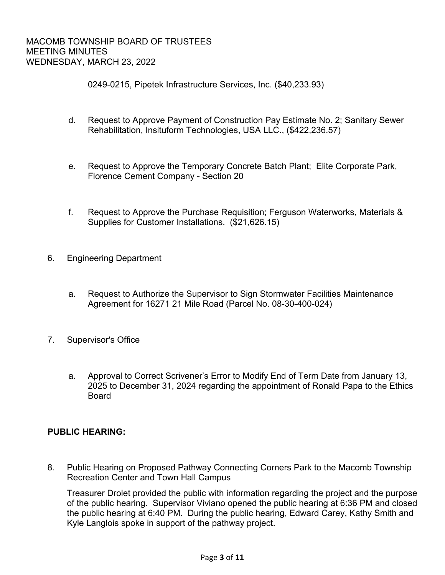0249-0215, Pipetek Infrastructure Services, Inc. (\$40,233.93)

- d. Request to Approve Payment of Construction Pay Estimate No. 2; Sanitary Sewer Rehabilitation, Insituform Technologies, USA LLC., (\$422,236.57)
- e. Request to Approve the Temporary Concrete Batch Plant; Elite Corporate Park, Florence Cement Company - Section 20
- f. Request to Approve the Purchase Requisition; Ferguson Waterworks, Materials & Supplies for Customer Installations. (\$21,626.15)
- 6. Engineering Department
	- a. Request to Authorize the Supervisor to Sign Stormwater Facilities Maintenance Agreement for 16271 21 Mile Road (Parcel No. 08-30-400-024)
- 7. Supervisor's Office
	- a. Approval to Correct Scrivener's Error to Modify End of Term Date from January 13, 2025 to December 31, 2024 regarding the appointment of Ronald Papa to the Ethics Board

# **PUBLIC HEARING:**

 8. Public Hearing on Proposed Pathway Connecting Corners Park to the Macomb Township Recreation Center and Town Hall Campus

Treasurer Drolet provided the public with information regarding the project and the purpose of the public hearing. Supervisor Viviano opened the public hearing at 6:36 PM and closed the public hearing at 6:40 PM. During the public hearing, Edward Carey, Kathy Smith and Kyle Langlois spoke in support of the pathway project.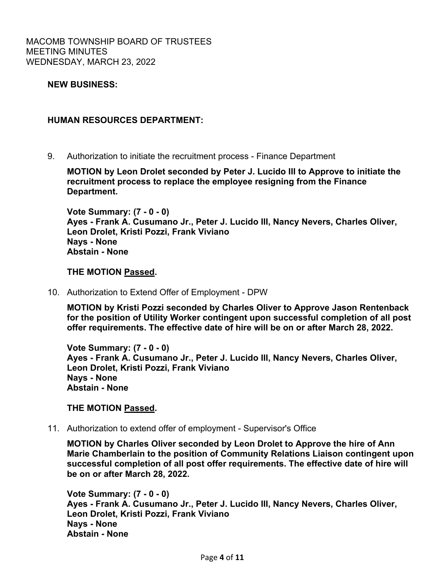## **NEW BUSINESS:**

### **HUMAN RESOURCES DEPARTMENT:**

9. Authorization to initiate the recruitment process - Finance Department

**MOTION by Leon Drolet seconded by Peter J. Lucido III to Approve to initiate the recruitment process to replace the employee resigning from the Finance Department.** 

**Vote Summary: (7 - 0 - 0) Ayes - Frank A. Cusumano Jr., Peter J. Lucido III, Nancy Nevers, Charles Oliver, Leon Drolet, Kristi Pozzi, Frank Viviano Nays - None Abstain - None** 

### **THE MOTION Passed.**

10. Authorization to Extend Offer of Employment - DPW

**MOTION by Kristi Pozzi seconded by Charles Oliver to Approve Jason Rentenback for the position of Utility Worker contingent upon successful completion of all post offer requirements. The effective date of hire will be on or after March 28, 2022.** 

**Vote Summary: (7 - 0 - 0) Ayes - Frank A. Cusumano Jr., Peter J. Lucido III, Nancy Nevers, Charles Oliver, Leon Drolet, Kristi Pozzi, Frank Viviano Nays - None Abstain - None** 

### **THE MOTION Passed.**

11. Authorization to extend offer of employment - Supervisor's Office

**MOTION by Charles Oliver seconded by Leon Drolet to Approve the hire of Ann Marie Chamberlain to the position of Community Relations Liaison contingent upon successful completion of all post offer requirements. The effective date of hire will be on or after March 28, 2022.** 

**Vote Summary: (7 - 0 - 0) Ayes - Frank A. Cusumano Jr., Peter J. Lucido III, Nancy Nevers, Charles Oliver, Leon Drolet, Kristi Pozzi, Frank Viviano Nays - None Abstain - None**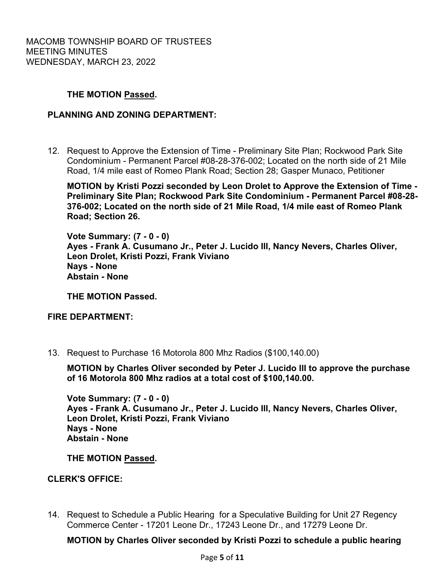## **THE MOTION Passed.**

## **PLANNING AND ZONING DEPARTMENT:**

12. Request to Approve the Extension of Time - Preliminary Site Plan; Rockwood Park Site Condominium - Permanent Parcel #08-28-376-002; Located on the north side of 21 Mile Road, 1/4 mile east of Romeo Plank Road; Section 28; Gasper Munaco, Petitioner

**MOTION by Kristi Pozzi seconded by Leon Drolet to Approve the Extension of Time - Preliminary Site Plan; Rockwood Park Site Condominium - Permanent Parcel #08-28- 376-002; Located on the north side of 21 Mile Road, 1/4 mile east of Romeo Plank Road; Section 26.** 

**Vote Summary: (7 - 0 - 0) Ayes - Frank A. Cusumano Jr., Peter J. Lucido III, Nancy Nevers, Charles Oliver, Leon Drolet, Kristi Pozzi, Frank Viviano Nays - None Abstain - None** 

**THE MOTION Passed.**

### **FIRE DEPARTMENT:**

13. Request to Purchase 16 Motorola 800 Mhz Radios (\$100,140.00)

**MOTION by Charles Oliver seconded by Peter J. Lucido III to approve the purchase of 16 Motorola 800 Mhz radios at a total cost of \$100,140.00.** 

**Vote Summary: (7 - 0 - 0) Ayes - Frank A. Cusumano Jr., Peter J. Lucido III, Nancy Nevers, Charles Oliver, Leon Drolet, Kristi Pozzi, Frank Viviano Nays - None Abstain - None** 

**THE MOTION Passed.**

### **CLERK'S OFFICE:**

 14. Request to Schedule a Public Hearing for a Speculative Building for Unit 27 Regency Commerce Center - 17201 Leone Dr., 17243 Leone Dr., and 17279 Leone Dr.

**MOTION by Charles Oliver seconded by Kristi Pozzi to schedule a public hearing**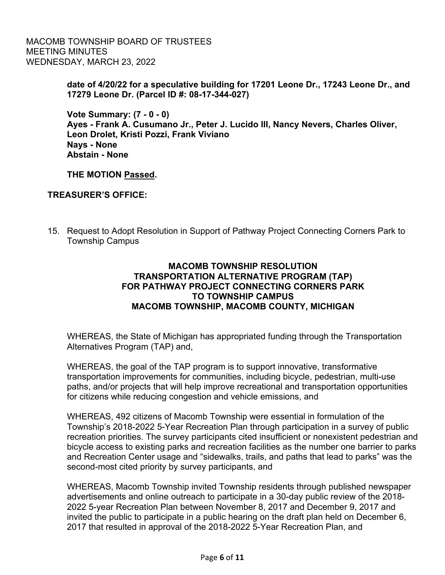> **date of 4/20/22 for a speculative building for 17201 Leone Dr., 17243 Leone Dr., and 17279 Leone Dr. (Parcel ID #: 08-17-344-027)**

**Vote Summary: (7 - 0 - 0) Ayes - Frank A. Cusumano Jr., Peter J. Lucido III, Nancy Nevers, Charles Oliver, Leon Drolet, Kristi Pozzi, Frank Viviano Nays - None Abstain - None** 

**THE MOTION Passed.**

# **TREASURER'S OFFICE:**

 15. Request to Adopt Resolution in Support of Pathway Project Connecting Corners Park to Township Campus

# **MACOMB TOWNSHIP RESOLUTION TRANSPORTATION ALTERNATIVE PROGRAM (TAP) FOR PATHWAY PROJECT CONNECTING CORNERS PARK TO TOWNSHIP CAMPUS MACOMB TOWNSHIP, MACOMB COUNTY, MICHIGAN**

WHEREAS, the State of Michigan has appropriated funding through the Transportation Alternatives Program (TAP) and,

WHEREAS, the goal of the TAP program is to support innovative, transformative transportation improvements for communities, including bicycle, pedestrian, multi-use paths, and/or projects that will help improve recreational and transportation opportunities for citizens while reducing congestion and vehicle emissions, and

WHEREAS, 492 citizens of Macomb Township were essential in formulation of the Township's 2018-2022 5-Year Recreation Plan through participation in a survey of public recreation priorities. The survey participants cited insufficient or nonexistent pedestrian and bicycle access to existing parks and recreation facilities as the number one barrier to parks and Recreation Center usage and "sidewalks, trails, and paths that lead to parks" was the second-most cited priority by survey participants, and

WHEREAS, Macomb Township invited Township residents through published newspaper advertisements and online outreach to participate in a 30-day public review of the 2018- 2022 5-year Recreation Plan between November 8, 2017 and December 9, 2017 and invited the public to participate in a public hearing on the draft plan held on December 6, 2017 that resulted in approval of the 2018-2022 5-Year Recreation Plan, and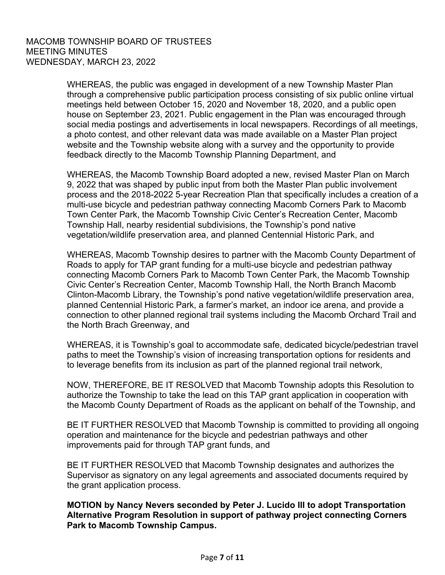WHEREAS, the public was engaged in development of a new Township Master Plan through a comprehensive public participation process consisting of six public online virtual meetings held between October 15, 2020 and November 18, 2020, and a public open house on September 23, 2021. Public engagement in the Plan was encouraged through social media postings and advertisements in local newspapers. Recordings of all meetings, a photo contest, and other relevant data was made available on a Master Plan project website and the Township website along with a survey and the opportunity to provide feedback directly to the Macomb Township Planning Department, and

WHEREAS, the Macomb Township Board adopted a new, revised Master Plan on March 9, 2022 that was shaped by public input from both the Master Plan public involvement process and the 2018-2022 5-year Recreation Plan that specifically includes a creation of a multi-use bicycle and pedestrian pathway connecting Macomb Corners Park to Macomb Town Center Park, the Macomb Township Civic Center's Recreation Center, Macomb Township Hall, nearby residential subdivisions, the Township's pond native vegetation/wildlife preservation area, and planned Centennial Historic Park, and

WHEREAS, Macomb Township desires to partner with the Macomb County Department of Roads to apply for TAP grant funding for a multi-use bicycle and pedestrian pathway connecting Macomb Corners Park to Macomb Town Center Park, the Macomb Township Civic Center's Recreation Center, Macomb Township Hall, the North Branch Macomb Clinton-Macomb Library, the Township's pond native vegetation/wildlife preservation area, planned Centennial Historic Park, a farmer's market, an indoor ice arena, and provide a connection to other planned regional trail systems including the Macomb Orchard Trail and the North Brach Greenway, and

WHEREAS, it is Township's goal to accommodate safe, dedicated bicycle/pedestrian travel paths to meet the Township's vision of increasing transportation options for residents and to leverage benefits from its inclusion as part of the planned regional trail network,

NOW, THEREFORE, BE IT RESOLVED that Macomb Township adopts this Resolution to authorize the Township to take the lead on this TAP grant application in cooperation with the Macomb County Department of Roads as the applicant on behalf of the Township, and

BE IT FURTHER RESOLVED that Macomb Township is committed to providing all ongoing operation and maintenance for the bicycle and pedestrian pathways and other improvements paid for through TAP grant funds, and

BE IT FURTHER RESOLVED that Macomb Township designates and authorizes the Supervisor as signatory on any legal agreements and associated documents required by the grant application process.

**MOTION by Nancy Nevers seconded by Peter J. Lucido III to adopt Transportation Alternative Program Resolution in support of pathway project connecting Corners Park to Macomb Township Campus.**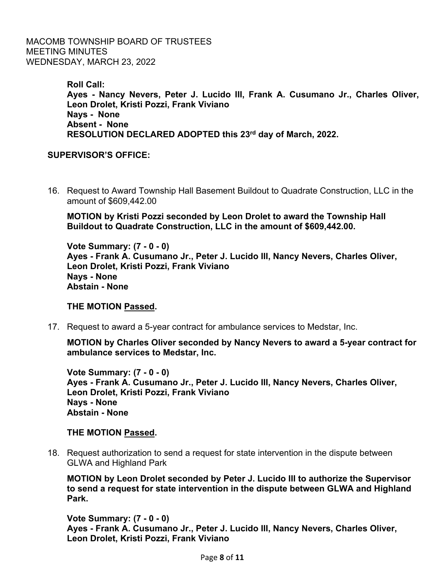> **Roll Call: Ayes - Nancy Nevers, Peter J. Lucido III, Frank A. Cusumano Jr., Charles Oliver, Leon Drolet, Kristi Pozzi, Frank Viviano Nays - None Absent - None RESOLUTION DECLARED ADOPTED this 23rd day of March, 2022.**

# **SUPERVISOR'S OFFICE:**

 16. Request to Award Township Hall Basement Buildout to Quadrate Construction, LLC in the amount of \$609,442.00

**MOTION by Kristi Pozzi seconded by Leon Drolet to award the Township Hall Buildout to Quadrate Construction, LLC in the amount of \$609,442.00.** 

**Vote Summary: (7 - 0 - 0) Ayes - Frank A. Cusumano Jr., Peter J. Lucido III, Nancy Nevers, Charles Oliver, Leon Drolet, Kristi Pozzi, Frank Viviano Nays - None Abstain - None** 

### **THE MOTION Passed.**

17. Request to award a 5-year contract for ambulance services to Medstar, Inc.

**MOTION by Charles Oliver seconded by Nancy Nevers to award a 5-year contract for ambulance services to Medstar, Inc.** 

**Vote Summary: (7 - 0 - 0) Ayes - Frank A. Cusumano Jr., Peter J. Lucido III, Nancy Nevers, Charles Oliver, Leon Drolet, Kristi Pozzi, Frank Viviano Nays - None Abstain - None** 

### **THE MOTION Passed.**

 18. Request authorization to send a request for state intervention in the dispute between GLWA and Highland Park

**MOTION by Leon Drolet seconded by Peter J. Lucido III to authorize the Supervisor to send a request for state intervention in the dispute between GLWA and Highland Park.** 

**Vote Summary: (7 - 0 - 0) Ayes - Frank A. Cusumano Jr., Peter J. Lucido III, Nancy Nevers, Charles Oliver, Leon Drolet, Kristi Pozzi, Frank Viviano**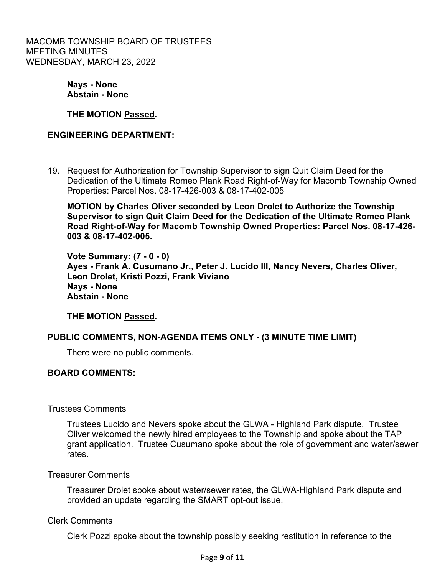> **Nays - None Abstain - None**

**THE MOTION Passed.**

# **ENGINEERING DEPARTMENT:**

19. Request for Authorization for Township Supervisor to sign Quit Claim Deed for the Dedication of the Ultimate Romeo Plank Road Right-of-Way for Macomb Township Owned Properties: Parcel Nos. 08-17-426-003 & 08-17-402-005

**MOTION by Charles Oliver seconded by Leon Drolet to Authorize the Township Supervisor to sign Quit Claim Deed for the Dedication of the Ultimate Romeo Plank Road Right-of-Way for Macomb Township Owned Properties: Parcel Nos. 08-17-426- 003 & 08-17-402-005.** 

**Vote Summary: (7 - 0 - 0) Ayes - Frank A. Cusumano Jr., Peter J. Lucido III, Nancy Nevers, Charles Oliver, Leon Drolet, Kristi Pozzi, Frank Viviano Nays - None Abstain - None** 

# **THE MOTION Passed.**

# **PUBLIC COMMENTS, NON-AGENDA ITEMS ONLY - (3 MINUTE TIME LIMIT)**

There were no public comments.

### **BOARD COMMENTS:**

### Trustees Comments

Trustees Lucido and Nevers spoke about the GLWA - Highland Park dispute. Trustee Oliver welcomed the newly hired employees to the Township and spoke about the TAP grant application. Trustee Cusumano spoke about the role of government and water/sewer rates.

### Treasurer Comments

 Treasurer Drolet spoke about water/sewer rates, the GLWA-Highland Park dispute and provided an update regarding the SMART opt-out issue.

### Clerk Comments

Clerk Pozzi spoke about the township possibly seeking restitution in reference to the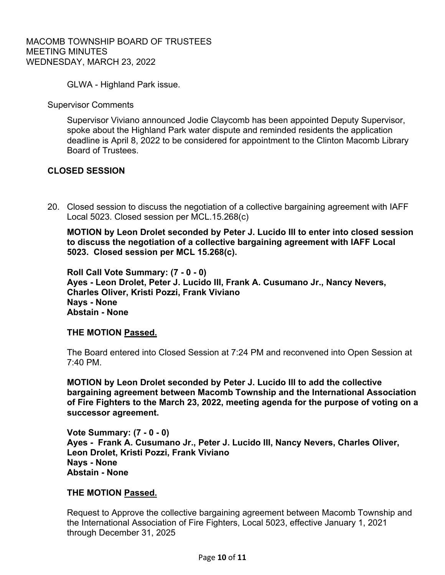GLWA - Highland Park issue.

Supervisor Comments

Supervisor Viviano announced Jodie Claycomb has been appointed Deputy Supervisor, spoke about the Highland Park water dispute and reminded residents the application deadline is April 8, 2022 to be considered for appointment to the Clinton Macomb Library Board of Trustees.

## **CLOSED SESSION**

 20. Closed session to discuss the negotiation of a collective bargaining agreement with IAFF Local 5023. Closed session per MCL.15.268(c)

**MOTION by Leon Drolet seconded by Peter J. Lucido III to enter into closed session to discuss the negotiation of a collective bargaining agreement with IAFF Local 5023. Closed session per MCL 15.268(c).** 

**Roll Call Vote Summary: (7 - 0 - 0) Ayes - Leon Drolet, Peter J. Lucido III, Frank A. Cusumano Jr., Nancy Nevers, Charles Oliver, Kristi Pozzi, Frank Viviano Nays - None Abstain - None** 

### **THE MOTION Passed.**

The Board entered into Closed Session at 7:24 PM and reconvened into Open Session at 7:40 PM.

**MOTION by Leon Drolet seconded by Peter J. Lucido III to add the collective bargaining agreement between Macomb Township and the International Association of Fire Fighters to the March 23, 2022, meeting agenda for the purpose of voting on a successor agreement.** 

**Vote Summary: (7 - 0 - 0) Ayes - Frank A. Cusumano Jr., Peter J. Lucido III, Nancy Nevers, Charles Oliver, Leon Drolet, Kristi Pozzi, Frank Viviano Nays - None Abstain - None** 

### **THE MOTION Passed.**

Request to Approve the collective bargaining agreement between Macomb Township and the International Association of Fire Fighters, Local 5023, effective January 1, 2021 through December 31, 2025